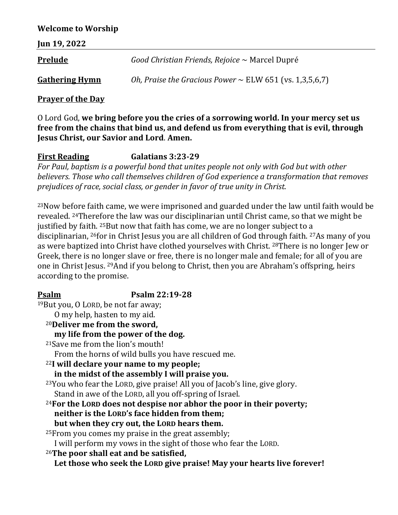### **Welcome to Worship**

| <b>Jun 19, 2022</b>   |                                                              |
|-----------------------|--------------------------------------------------------------|
| <b>Prelude</b>        | Good Christian Friends, Rejoice $\sim$ Marcel Dupré          |
| <b>Gathering Hymn</b> | Oh, Praise the Gracious Power $\sim$ ELW 651 (vs. 1,3,5,6,7) |

### **Prayer of the Day**

O Lord God, **we bring before you the cries of a sorrowing world. In your mercy set us free from the chains that bind us, and defend us from everything that is evil, through Jesus Christ, our Savior and Lord**. **Amen.**

# **First Reading Galatians 3:23-29**

*For Paul, baptism is a powerful bond that unites people not only with God but with other believers. Those who call themselves children of God experience a transformation that removes prejudices of race, social class, or gender in favor of true unity in Christ.*

<sup>23</sup>Now before faith came, we were imprisoned and guarded under the law until faith would be revealed. <sup>24</sup>Therefore the law was our disciplinarian until Christ came, so that we might be justified by faith. <sup>25</sup>But now that faith has come, we are no longer subject to a disciplinarian, <sup>26</sup>for in Christ Jesus you are all children of God through faith. <sup>27</sup>As many of you as were baptized into Christ have clothed yourselves with Christ. <sup>28</sup>There is no longer Jew or Greek, there is no longer slave or free, there is no longer male and female; for all of you are one in Christ Jesus. <sup>29</sup>And if you belong to Christ, then you are Abraham's offspring, heirs according to the promise.

## **Psalm Psalm 22:19-28**

<sup>19</sup>But you, O LORD, be not far away; O my help, hasten to my aid. <sup>20</sup>**Deliver me from the sword, my life from the power of the dog.** <sup>21</sup>Save me from the lion's mouth! From the horns of wild bulls you have rescued me. <sup>22</sup>**I will declare your name to my people; in the midst of the assembly I will praise you.** <sup>23</sup>You who fear the LORD, give praise! All you of Jacob's line, give glory. Stand in awe of the LORD, all you off-spring of Israel. <sup>24</sup>**For the LORD does not despise nor abhor the poor in their poverty; neither is the LORD's face hidden from them; but when they cry out, the LORD hears them.** <sup>25</sup>From you comes my praise in the great assembly; I will perform my vows in the sight of those who fear the LORD. <sup>26</sup>**The poor shall eat and be satisfied, Let those who seek the LORD give praise! May your hearts live forever!**